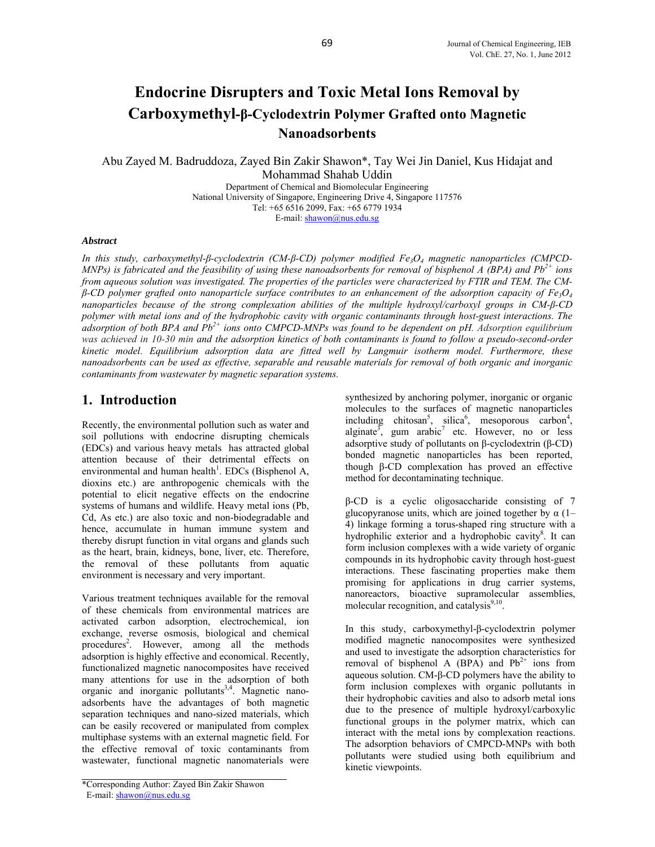# **Endocrine Disrupters and Toxic Metal Ions Removal by Carboxymethyl-β-Cyclodextrin Polymer Grafted onto Magnetic Nanoadsorbents**

Abu Zayed M. Badruddoza, Zayed Bin Zakir Shawon\*, Tay Wei Jin Daniel, Kus Hidajat and Mohammad Shahab Uddin Department of Chemical and Biomolecular Engineering

National University of Singapore, Engineering Drive 4, Singapore 117576 Tel: +65 6516 2099, Fax: +65 6779 1934 E-mail: shawon@nus.edu.sg

#### *Abstract*

*In this study, carboxymethyl-β-cyclodextrin (CM-β-CD) polymer modified Fe<sub>3</sub>O<sub>4</sub> magnetic nanoparticles (CMPCD-MNPs) is fabricated and the feasibility of using these nanoadsorbents for removal of bisphenol A (BPA) and Pb<sup>2+</sup> ions from aqueous solution was investigated. The properties of the particles were characterized by FTIR and TEM. The CMβ-CD polymer grafted onto nanoparticle surface contributes to an enhancement of the adsorption capacity of Fe3O4 nanoparticles because of the strong complexation abilities of the multiple hydroxyl/carboxyl groups in CM-β-CD polymer with metal ions and of the hydrophobic cavity with organic contaminants through host-guest interactions. The*  adsorption of both BPA and Pb<sup>2+</sup> ions onto CMPCD-MNPs was found to be dependent on pH. Adsorption equilibrium *was achieved in 10-30 min and the adsorption kinetics of both contaminants is found to follow a pseudo-second-order kinetic model. Equilibrium adsorption data are fitted well by Langmuir isotherm model. Furthermore, these nanoadsorbents can be used as effective, separable and reusable materials for removal of both organic and inorganic contaminants from wastewater by magnetic separation systems.* 

### **1. Introduction**

Recently, the environmental pollution such as water and soil pollutions with endocrine disrupting chemicals (EDCs) and various heavy metals has attracted global attention because of their detrimental effects on environmental and human health<sup>1</sup>. EDCs (Bisphenol A, dioxins etc.) are anthropogenic chemicals with the potential to elicit negative effects on the endocrine systems of humans and wildlife. Heavy metal ions (Pb, Cd, As etc.) are also toxic and non-biodegradable and hence, accumulate in human immune system and thereby disrupt function in vital organs and glands such as the heart, brain, kidneys, bone, liver, etc. Therefore, the removal of these pollutants from aquatic environment is necessary and very important.

Various treatment techniques available for the removal of these chemicals from environmental matrices are activated carbon adsorption, electrochemical, ion exchange, reverse osmosis, biological and chemical procedures<sup>2</sup>. However, among all the methods adsorption is highly effective and economical. Recently, functionalized magnetic nanocomposites have received many attentions for use in the adsorption of both organic and inorganic pollutants<sup>3,4</sup>. Magnetic nanoadsorbents have the advantages of both magnetic separation techniques and nano-sized materials, which can be easily recovered or manipulated from complex multiphase systems with an external magnetic field. For the effective removal of toxic contaminants from wastewater, functional magnetic nanomaterials were

\*Corresponding Author: Zayed Bin Zakir Shawon E-mail: shawon@nus.edu.sg

synthesized by anchoring polymer, inorganic or organic molecules to the surfaces of magnetic nanoparticles including chitosan<sup>5</sup>, silica<sup>6</sup>, mesoporous carbon<sup>4</sup>, alginate<sup>3</sup>, gum arabic<sup>7</sup> etc. However, no or less adsorptive study of pollutants on β-cyclodextrin (β-CD) bonded magnetic nanoparticles has been reported, though β-CD complexation has proved an effective method for decontaminating technique.

β-CD is a cyclic oligosaccharide consisting of 7 glucopyranose units, which are joined together by  $\alpha$  (1– 4) linkage forming a torus-shaped ring structure with a hydrophilic exterior and a hydrophobic cavity<sup>8</sup>. It can form inclusion complexes with a wide variety of organic compounds in its hydrophobic cavity through host-guest interactions. These fascinating properties make them promising for applications in drug carrier systems, nanoreactors, bioactive supramolecular assemblies, molecular recognition, and catalysis $9,10$ .

In this study, carboxymethyl-β-cyclodextrin polymer modified magnetic nanocomposites were synthesized and used to investigate the adsorption characteristics for removal of bisphenol A (BPA) and  $Pb^{2+}$  ions from aqueous solution. CM-β-CD polymers have the ability to form inclusion complexes with organic pollutants in their hydrophobic cavities and also to adsorb metal ions due to the presence of multiple hydroxyl/carboxylic functional groups in the polymer matrix, which can interact with the metal ions by complexation reactions. The adsorption behaviors of CMPCD-MNPs with both pollutants were studied using both equilibrium and kinetic viewpoints.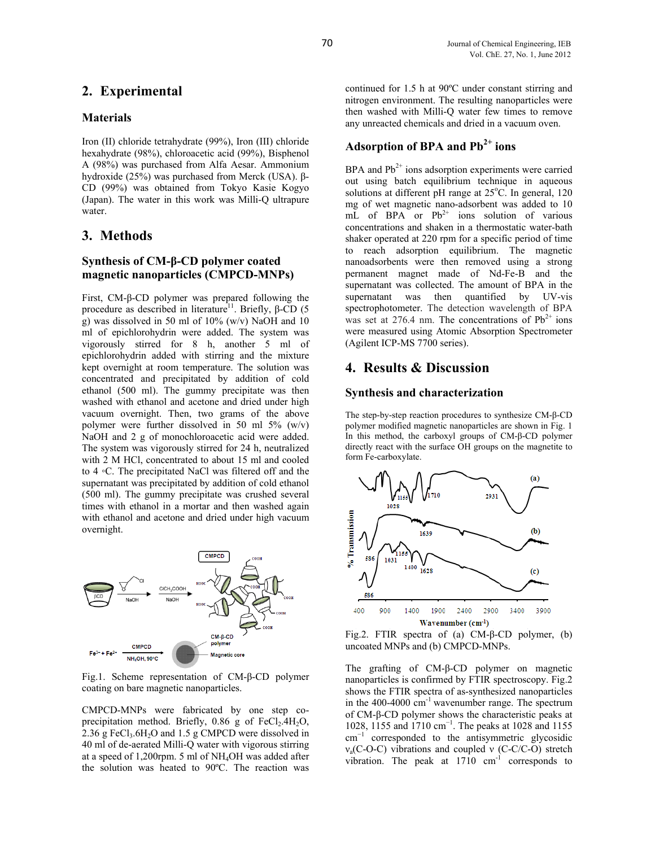# **2. Experimental**

#### **Materials**

Iron (II) chloride tetrahydrate (99%), Iron (III) chloride hexahydrate (98%), chloroacetic acid (99%), Bisphenol A (98%) was purchased from Alfa Aesar. Ammonium hydroxide (25%) was purchased from Merck (USA). β-CD (99%) was obtained from Tokyo Kasie Kogyo (Japan). The water in this work was Milli-Q ultrapure water.

# **3. Methods**

### **Synthesis of CM-β-CD polymer coated magnetic nanoparticles (CMPCD-MNPs)**

First, CM-β-CD polymer was prepared following the procedure as described in literature<sup>11</sup>. Briefly, β-CD (5 g) was dissolved in 50 ml of 10% (w/v) NaOH and 10 ml of epichlorohydrin were added. The system was vigorously stirred for 8 h, another 5 ml of epichlorohydrin added with stirring and the mixture kept overnight at room temperature. The solution was concentrated and precipitated by addition of cold ethanol (500 ml). The gummy precipitate was then washed with ethanol and acetone and dried under high vacuum overnight. Then, two grams of the above polymer were further dissolved in 50 ml 5% (w/v) NaOH and 2 g of monochloroacetic acid were added. The system was vigorously stirred for 24 h, neutralized with 2 M HCl, concentrated to about 15 ml and cooled to 4 ◦C. The precipitated NaCl was filtered off and the supernatant was precipitated by addition of cold ethanol (500 ml). The gummy precipitate was crushed several times with ethanol in a mortar and then washed again with ethanol and acetone and dried under high vacuum overnight.



Fig.1. Scheme representation of CM-β-CD polymer coating on bare magnetic nanoparticles.

CMPCD-MNPs were fabricated by one step coprecipitation method. Briefly,  $0.86$  g of FeCl<sub>2</sub>.4H<sub>2</sub>O, 2.36 g FeCl<sub>3</sub>.6H<sub>2</sub>O and 1.5 g CMPCD were dissolved in 40 ml of de-aerated Milli-Q water with vigorous stirring at a speed of 1,200rpm. 5 ml of NH4OH was added after the solution was heated to 90ºC. The reaction was

continued for 1.5 h at 90ºC under constant stirring and nitrogen environment. The resulting nanoparticles were then washed with Milli-Q water few times to remove any unreacted chemicals and dried in a vacuum oven.

# **Adsorption of BPA and Pb2+ ions**

BPA and  $Pb^{2+}$  ions adsorption experiments were carried out using batch equilibrium technique in aqueous solutions at different pH range at  $25^{\circ}$ C. In general, 120 mg of wet magnetic nano-adsorbent was added to 10 mL of BPA or  $Pb^{2+}$  ions solution of various concentrations and shaken in a thermostatic water-bath shaker operated at 220 rpm for a specific period of time to reach adsorption equilibrium. The magnetic nanoadsorbents were then removed using a strong permanent magnet made of Nd-Fe-B and the supernatant was collected. The amount of BPA in the supernatant was then quantified by UV-vis spectrophotometer. The detection wavelength of BPA was set at 276.4 nm. The concentrations of  $Pb^{2+}$  ions were measured using Atomic Absorption Spectrometer (Agilent ICP-MS 7700 series).

# **4. Results & Discussion**

#### **Synthesis and characterization**

The step-by-step reaction procedures to synthesize CM-β-CD polymer modified magnetic nanoparticles are shown in Fig. 1 In this method, the carboxyl groups of CM-β-CD polymer directly react with the surface OH groups on the magnetite to form Fe-carboxylate.



Fig.2. FTIR spectra of (a) CM-β-CD polymer, (b) uncoated MNPs and (b) CMPCD-MNPs.

The grafting of CM-β-CD polymer on magnetic nanoparticles is confirmed by FTIR spectroscopy. Fig.2 shows the FTIR spectra of as-synthesized nanoparticles in the  $400-4000$  cm<sup>-1</sup> wavenumber range. The spectrum of CM-β-CD polymer shows the characteristic peaks at 1028, 1155 and 1710 cm<sup>-1</sup>. The peaks at 1028 and 1155 cm<sup>−</sup><sup>1</sup> corresponded to the antisymmetric glycosidic νa(C-O-C) vibrations and coupled ν (C-C/C-O) stretch vibration. The peak at  $1710 \text{ cm}^{-1}$  corresponds to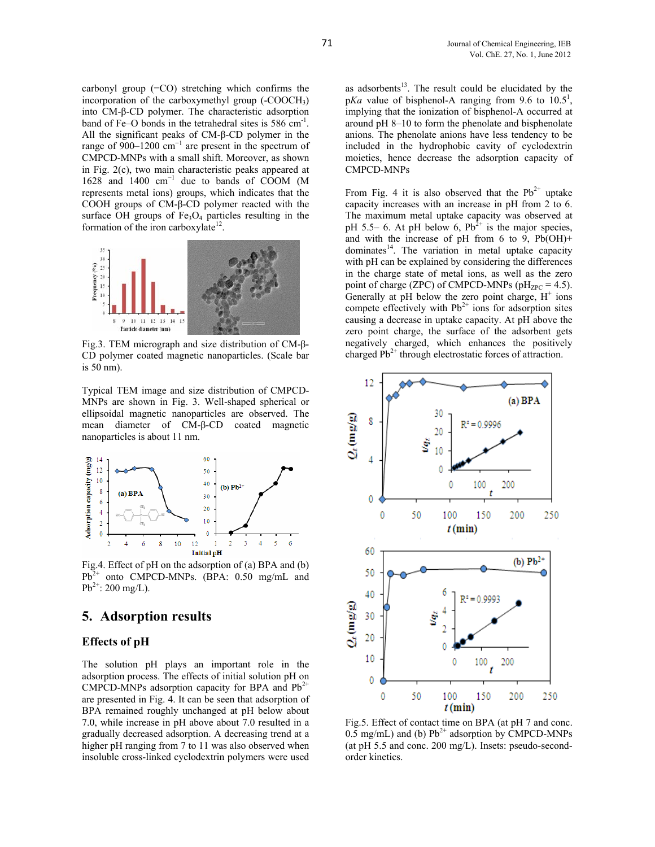carbonyl group (=CO) stretching which confirms the incorporation of the carboxymethyl group (-COOCH3) into CM-β-CD polymer. The characteristic adsorption band of Fe–O bonds in the tetrahedral sites is 586 cm<sup>-1</sup>. All the significant peaks of CM-β-CD polymer in the range of  $900-1200$  cm<sup>-1</sup> are present in the spectrum of CMPCD-MNPs with a small shift. Moreover, as shown in Fig. 2(c), two main characteristic peaks appeared at 1628 and 1400 cm<sup>−</sup><sup>1</sup> due to bands of COOM (M represents metal ions) groups, which indicates that the COOH groups of CM-β-CD polymer reacted with the surface OH groups of  $Fe<sub>3</sub>O<sub>4</sub>$  particles resulting in the formation of the iron carboxylate $12$ .



Fig.3. TEM micrograph and size distribution of CM-β-CD polymer coated magnetic nanoparticles. (Scale bar is 50 nm).

Typical TEM image and size distribution of CMPCD-MNPs are shown in Fig. 3. Well-shaped spherical or ellipsoidal magnetic nanoparticles are observed. The mean diameter of CM-β-CD coated magnetic nanoparticles is about 11 nm.



Fig.4. Effect of pH on the adsorption of (a) BPA and (b)  $Pb^{2+}$  onto CMPCD-MNPs. (BPA: 0.50 mg/mL and  $Pb^{2+}$ : 200 mg/L).

### **5. Adsorption results**

#### **Effects of pH**

The solution pH plays an important role in the adsorption process. The effects of initial solution pH on CMPCD-MNPs adsorption capacity for BPA and  $Pb^{2+}$ are presented in Fig. 4. It can be seen that adsorption of BPA remained roughly unchanged at pH below about 7.0, while increase in pH above about 7.0 resulted in a gradually decreased adsorption. A decreasing trend at a higher pH ranging from 7 to 11 was also observed when insoluble cross-linked cyclodextrin polymers were used

as adsorbents $13$ . The result could be elucidated by the  $pKa$  value of bisphenol-A ranging from 9.6 to  $10.5^1$ , implying that the ionization of bisphenol-A occurred at around pH 8–10 to form the phenolate and bisphenolate anions. The phenolate anions have less tendency to be included in the hydrophobic cavity of cyclodextrin moieties, hence decrease the adsorption capacity of CMPCD-MNPs

From Fig. 4 it is also observed that the  $Pb^{2+}$  uptake capacity increases with an increase in pH from 2 to 6. The maximum metal uptake capacity was observed at pH 5.5– 6. At pH below 6,  $Pb^{2+}$  is the major species, and with the increase of pH from 6 to 9,  $Pb(OH)$ + dominates<sup>14</sup>. The variation in metal uptake capacity with pH can be explained by considering the differences in the charge state of metal ions, as well as the zero point of charge (ZPC) of CMPCD-MNPs ( $pH_{ZPC} = 4.5$ ). Generally at  $pH$  below the zero point charge,  $H^+$  ions compete effectively with  $Pb^{2+}$  ions for adsorption sites causing a decrease in uptake capacity. At pH above the zero point charge, the surface of the adsorbent gets negatively charged, which enhances the positively charged  $Pb^{2+}$  through electrostatic forces of attraction.



Fig.5. Effect of contact time on BPA (at pH 7 and conc. 0.5 mg/mL) and (b)  $Pb^{2+}$  adsorption by CMPCD-MNPs (at pH 5.5 and conc. 200 mg/L). Insets: pseudo-secondorder kinetics.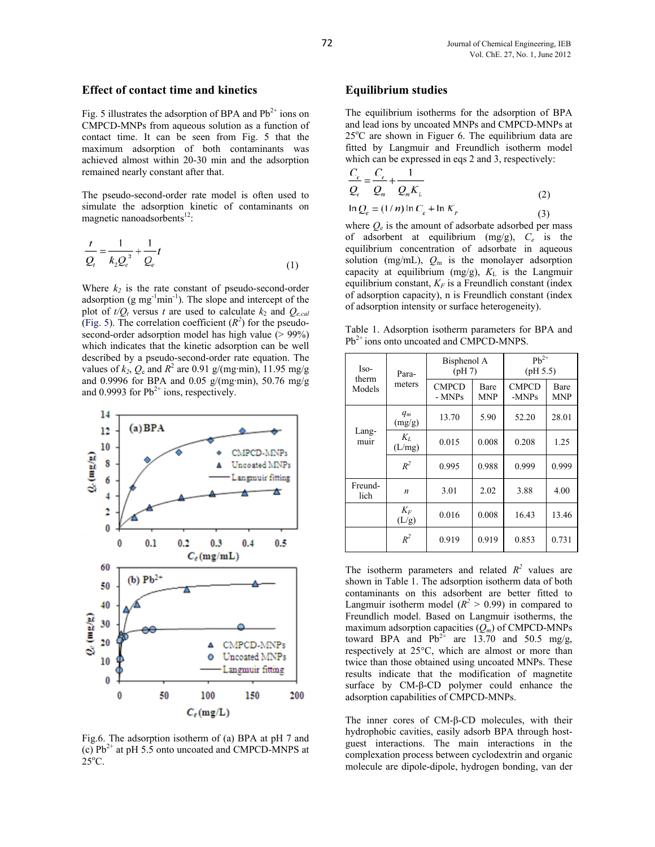#### **Effect of contact time and kinetics**

Fig. 5 illustrates the adsorption of BPA and  $Pb^{2+}$  ions on CMPCD-MNPs from aqueous solution as a function of contact time. It can be seen from Fig. 5 that the maximum adsorption of both contaminants was achieved almost within 20-30 min and the adsorption remained nearly constant after that.

The pseudo-second-order rate model is often used to simulate the adsorption kinetic of contaminants on magnetic nanoadsorbents<sup>12</sup>:

$$
\frac{t}{Q_{i}} = \frac{1}{k_{2}Q_{e}^{2}} + \frac{1}{Q_{e}}t
$$
\n(1)

Where  $k_2$  is the rate constant of pseudo-second-order adsorption  $(g \, mg^{-1} \, min^{-1})$ . The slope and intercept of the plot of  $t/Q_t$  versus *t* are used to calculate  $k_2$  and  $Q_{e,cal}$ (Fig. 5). The correlation coefficient  $(R^2)$  for the pseudosecond-order adsorption model has high value (> 99%) which indicates that the kinetic adsorption can be well described by a pseudo-second-order rate equation. The values of  $k_2$ ,  $Q_e$  and  $R^2$  are 0.91 g/(mg·min), 11.95 mg/g and 0.9996 for BPA and 0.05 g/(mg·min), 50.76 mg/g and 0.9993 for  $Pb^{2+}$  ions, respectively.



Fig.6. The adsorption isotherm of (a) BPA at pH 7 and (c)  $Pb^{2+}$  at pH 5.5 onto uncoated and CMPCD-MNPS at  $25^{\circ}$ C.

#### **Equilibrium studies**

The equilibrium isotherms for the adsorption of BPA and lead ions by uncoated MNPs and CMPCD-MNPs at 25°C are shown in Figuer 6. The equilibrium data are fitted by Langmuir and Freundlich isotherm model which can be expressed in eqs 2 and 3, respectively:

$$
\frac{C_e}{Q_e} = \frac{C_e}{Q_m} + \frac{1}{Q_m K_L}
$$
\n
$$
\ln Q_e = (1/n) \ln C_e + \ln K_F
$$
\n(2)

where  $O_e$  is the amount of adsorbate adsorbed per mass of adsorbent at equilibrium (mg/g), *Ce* is the equilibrium concentration of adsorbate in aqueous solution (mg/mL),  $Q_m$  is the monolayer adsorption capacity at equilibrium (mg/g),  $K<sub>L</sub>$  is the Langmuir equilibrium constant,  $K_F$  is a Freundlich constant (index of adsorption capacity), n is Freundlich constant (index of adsorption intensity or surface heterogeneity).

Table 1. Adsorption isotherm parameters for BPA and Pb<sup>2+</sup> ions onto uncoated and CMPCD-MNPS.

| Iso-<br>therm<br>Models | Para-<br>meters | Bisphenol A<br>(pH7)   |                    | $Pb^{2+}$<br>(pH 5.5) |                    |
|-------------------------|-----------------|------------------------|--------------------|-----------------------|--------------------|
|                         |                 | <b>CMPCD</b><br>- MNPs | Bare<br><b>MNP</b> | <b>CMPCD</b><br>-MNPs | Bare<br><b>MNP</b> |
| Lang-<br>muir           | $q_m$<br>(mg/g) | 13.70                  | 5.90               | 52.20                 | 28.01              |
|                         | $K_L$<br>(L/mg) | 0.015                  | 0.008              | 0.208                 | 1.25               |
|                         | $R^2$           | 0.995                  | 0.988              | 0.999                 | 0.999              |
| Freund-<br>lich         | n               | 3.01                   | 2.02               | 3.88                  | 4.00               |
|                         | $K_F$<br>(L/g)  | 0.016                  | 0.008              | 16.43                 | 13.46              |
|                         | $R^2$           | 0.919                  | 0.919              | 0.853                 | 0.731              |

The isotherm parameters and related  $R^2$  values are shown in Table 1. The adsorption isotherm data of both contaminants on this adsorbent are better fitted to Langmuir isotherm model  $(R^2 > 0.99)$  in compared to Freundlich model. Based on Langmuir isotherms, the maximum adsorption capacities (*Qm*) of CMPCD-MNPs toward BPA and  $Pb^{2+}$  are 13.70 and 50.5 mg/g, respectively at 25°C, which are almost or more than twice than those obtained using uncoated MNPs. These results indicate that the modification of magnetite surface by CM-β-CD polymer could enhance the adsorption capabilities of CMPCD-MNPs.

The inner cores of CM-β-CD molecules, with their hydrophobic cavities, easily adsorb BPA through hostguest interactions. The main interactions in the complexation process between cyclodextrin and organic molecule are dipole-dipole, hydrogen bonding, van der